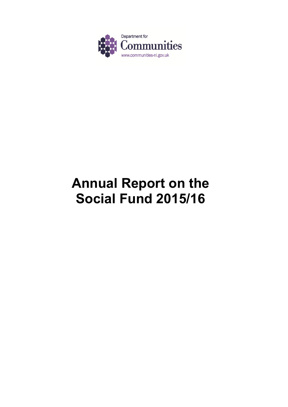

# **Annual Report on the Social Fund 2015/16**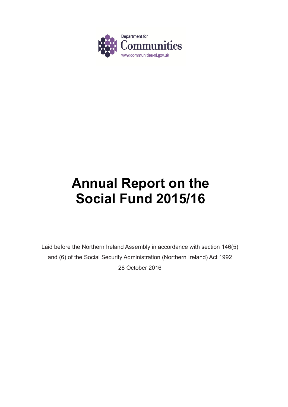

# **Annual Report on the Social Fund 2015/16**

Laid before the Northern Ireland Assembly in accordance with section 146(5) and (6) of the Social Security Administration (Northern Ireland) Act 1992 28 October 2016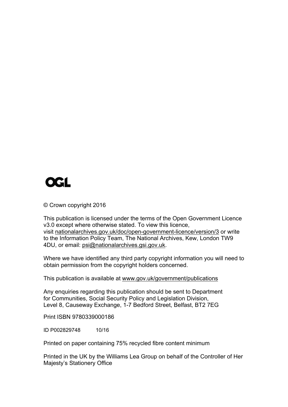

© Crown copyright 2016

This publication is licensed under the terms of the Open Government Licence v3.0 except where otherwise stated. To view this licence, visit nationalarchives.gov.uk/doc/open-government-licence/version/3 or write to the Information Policy Team, The National Archives, Kew, London TW9 4DU, or email: psi@nationalarchives.gsi.gov.uk.

Where we have identified any third party copyright information you will need to obtain permission from the copyright holders concerned.

This publication is available at www.gov.uk/government/publications

Any enquiries regarding this publication should be sent to Department for Communities, Social Security Policy and Legislation Division, Level 8, Causeway Exchange, 1-7 Bedford Street, Belfast, BT2 7EG

Print ISBN 9780339000186

ID P002829748 10/16

Printed on paper containing 75% recycled fibre content minimum

Printed in the UK by the Williams Lea Group on behalf of the Controller of Her Majesty's Stationery Office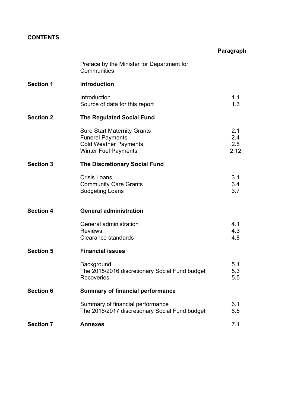# **CONTENTS**

|                  |                                                                                                                              | Paragraph                 |
|------------------|------------------------------------------------------------------------------------------------------------------------------|---------------------------|
|                  | Preface by the Minister for Department for<br>Communities                                                                    |                           |
| <b>Section 1</b> | <b>Introduction</b>                                                                                                          |                           |
|                  | Introduction<br>Source of data for this report                                                                               | 1.1<br>1.3                |
| <b>Section 2</b> | <b>The Regulated Social Fund</b>                                                                                             |                           |
|                  | <b>Sure Start Maternity Grants</b><br><b>Funeral Payments</b><br><b>Cold Weather Payments</b><br><b>Winter Fuel Payments</b> | 2.1<br>2.4<br>2.8<br>2.12 |
| <b>Section 3</b> | <b>The Discretionary Social Fund</b>                                                                                         |                           |
|                  | <b>Crisis Loans</b><br><b>Community Care Grants</b><br><b>Budgeting Loans</b>                                                | 3.1<br>3.4<br>3.7         |
| <b>Section 4</b> | <b>General administration</b>                                                                                                |                           |
|                  | General administration<br><b>Reviews</b><br><b>Clearance standards</b>                                                       | 4.1<br>4.3<br>4.8         |
| <b>Section 5</b> | <b>Financial issues</b>                                                                                                      |                           |
|                  | Background<br>The 2015/2016 discretionary Social Fund budget<br><b>Recoveries</b>                                            | 5.1<br>5.3<br>5.5         |
| <b>Section 6</b> | <b>Summary of financial performance</b>                                                                                      |                           |
|                  | Summary of financial performance<br>The 2016/2017 discretionary Social Fund budget                                           | 6.1<br>6.5                |
| <b>Section 7</b> | <b>Annexes</b>                                                                                                               | 7.1                       |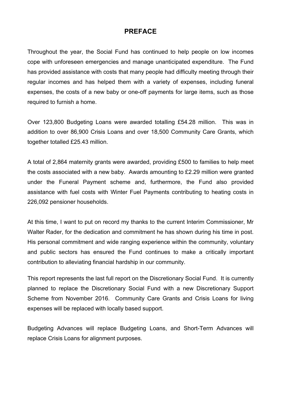# **PREFACE**

Throughout the year, the Social Fund has continued to help people on low incomes cope with unforeseen emergencies and manage unanticipated expenditure. The Fund has provided assistance with costs that many people had difficulty meeting through their regular incomes and has helped them with a variety of expenses, including funeral expenses, the costs of a new baby or one-off payments for large items, such as those required to furnish a home.

Over 123,800 Budgeting Loans were awarded totalling £54.28 million. This was in addition to over 86,900 Crisis Loans and over 18,500 Community Care Grants, which together totalled £25.43 million.

A total of 2,864 maternity grants were awarded, providing £500 to families to help meet the costs associated with a new baby. Awards amounting to £2.29 million were granted under the Funeral Payment scheme and, furthermore, the Fund also provided assistance with fuel costs with Winter Fuel Payments contributing to heating costs in 226,092 pensioner households.

At this time, I want to put on record my thanks to the current Interim Commissioner, Mr Walter Rader, for the dedication and commitment he has shown during his time in post. His personal commitment and wide ranging experience within the community, voluntary and public sectors has ensured the Fund continues to make a critically important contribution to alleviating financial hardship in our community.

This report represents the last full report on the Discretionary Social Fund. It is currently planned to replace the Discretionary Social Fund with a new Discretionary Support Scheme from November 2016. Community Care Grants and Crisis Loans for living expenses will be replaced with locally based support.

Budgeting Advances will replace Budgeting Loans, and Short-Term Advances will replace Crisis Loans for alignment purposes.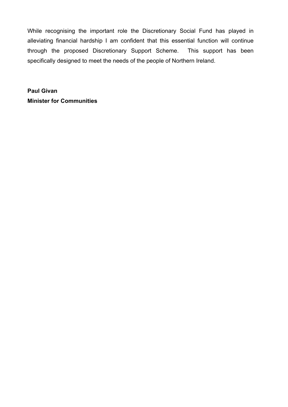While recognising the important role the Discretionary Social Fund has played in alleviating financial hardship I am confident that this essential function will continue through the proposed Discretionary Support Scheme. This support has been specifically designed to meet the needs of the people of Northern Ireland.

**Paul Givan Minister for Communities**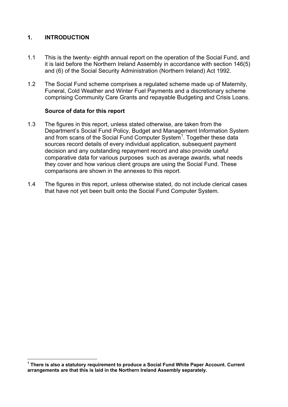# **1. INTRODUCTION**

 $\overline{a}$ 

- 1.1 This is the twenty- eighth annual report on the operation of the Social Fund, and it is laid before the Northern Ireland Assembly in accordance with section 146(5) and (6) of the Social Security Administration (Northern Ireland) Act 1992.
- 1.2 The Social Fund scheme comprises a regulated scheme made up of Maternity, Funeral, Cold Weather and Winter Fuel Payments and a discretionary scheme comprising Community Care Grants and repayable Budgeting and Crisis Loans.

## **Source of data for this report**

- 1.3 The figures in this report, unless stated otherwise, are taken from the Department's Social Fund Policy, Budget and Management Information System and from scans of the Social Fund Computer System<sup>1</sup>. Together these data sources record details of every individual application, subsequent payment decision and any outstanding repayment record and also provide useful comparative data for various purposes such as average awards, what needs they cover and how various client groups are using the Social Fund. These comparisons are shown in the annexes to this report.
- 1.4 The figures in this report, unless otherwise stated, do not include clerical cases that have not yet been built onto the Social Fund Computer System.

**<sup>1</sup> There is also a statutory requirement to produce a Social Fund White Paper Account. Current arrangements are that this is laid in the Northern Ireland Assembly separately.**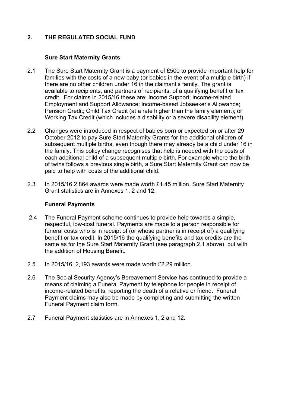# **2. THE REGULATED SOCIAL FUND**

## **Sure Start Maternity Grants**

- 2.1 The Sure Start Maternity Grant is a payment of £500 to provide important help for families with the costs of a new baby (or babies in the event of a multiple birth) if there are no other children under 16 in the claimant's family. The grant is available to recipients, and partners of recipients, of a qualifying benefit or tax credit. For claims in 2015/16 these are: Income Support; income-related Employment and Support Allowance; income-based Jobseeker's Allowance; Pension Credit; Child Tax Credit (at a rate higher than the family element); or Working Tax Credit (which includes a disability or a severe disability element).
- 2.2 Changes were introduced in respect of babies born or expected on or after 29 October 2012 to pay Sure Start Maternity Grants for the additional children of subsequent multiple births, even though there may already be a child under 16 in the family. This policy change recognises that help is needed with the costs of each additional child of a subsequent multiple birth. For example where the birth of twins follows a previous single birth, a Sure Start Maternity Grant can now be paid to help with costs of the additional child.
- 2.3 In 2015/16 2,864 awards were made worth £1.45 million. Sure Start Maternity Grant statistics are in Annexes 1, 2 and 12.

#### **Funeral Payments**

- 2.4 The Funeral Payment scheme continues to provide help towards a simple, respectful, low-cost funeral. Payments are made to a person responsible for funeral costs who is in receipt of (or whose partner is in receipt of) a qualifying benefit or tax credit. In 2015/16 the qualifying benefits and tax credits are the same as for the Sure Start Maternity Grant (see paragraph 2.1 above), but with the addition of Housing Benefit.
- 2.5 In 2015/16, 2,193 awards were made worth £2.29 million.
- 2.6 The Social Security Agency's Bereavement Service has continued to provide a means of claiming a Funeral Payment by telephone for people in receipt of income-related benefits, reporting the death of a relative or friend. Funeral Payment claims may also be made by completing and submitting the written Funeral Payment claim form.
- 2.7 Funeral Payment statistics are in Annexes 1, 2 and 12.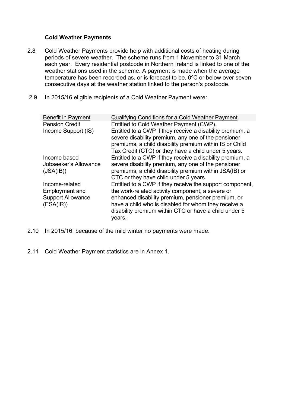# **Cold Weather Payments**

- 2.8 Cold Weather Payments provide help with additional costs of heating during periods of severe weather. The scheme runs from 1 November to 31 March each year. Every residential postcode in Northern Ireland is linked to one of the weather stations used in the scheme. A payment is made when the average temperature has been recorded as, or is forecast to be, 0ºC or below over seven consecutive days at the weather station linked to the person's postcode.
- 2.9 In 2015/16 eligible recipients of a Cold Weather Payment were:

| <b>Benefit in Payment</b> | <b>Qualifying Conditions for a Cold Weather Payment</b>                                                                                                                                                                             |
|---------------------------|-------------------------------------------------------------------------------------------------------------------------------------------------------------------------------------------------------------------------------------|
| <b>Pension Credit</b>     | Entitled to Cold Weather Payment (CWP).                                                                                                                                                                                             |
| Income Support (IS)       | Entitled to a CWP if they receive a disability premium, a<br>severe disability premium, any one of the pensioner<br>premiums, a child disability premium within IS or Child<br>Tax Credit (CTC) or they have a child under 5 years. |
| Income based              | Entitled to a CWP if they receive a disability premium, a                                                                                                                                                                           |
| Jobseeker's Allowance     | severe disability premium, any one of the pensioner                                                                                                                                                                                 |
| (JSA(IB))                 | premiums, a child disability premium within JSA(IB) or                                                                                                                                                                              |
|                           | CTC or they have child under 5 years.                                                                                                                                                                                               |
| Income-related            | Entitled to a CWP if they receive the support component,                                                                                                                                                                            |
| <b>Employment and</b>     | the work-related activity component, a severe or                                                                                                                                                                                    |
| <b>Support Allowance</b>  | enhanced disability premium, pensioner premium, or                                                                                                                                                                                  |
| (ESA(IR))                 | have a child who is disabled for whom they receive a<br>disability premium within CTC or have a child under 5<br>years.                                                                                                             |

- 2.10 In 2015/16, because of the mild winter no payments were made.
- 2.11 Cold Weather Payment statistics are in Annex 1.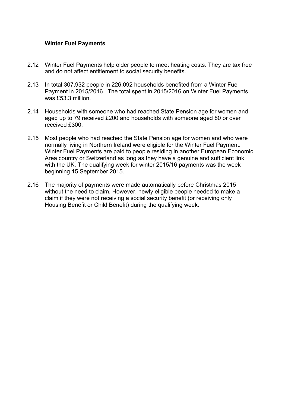## **Winter Fuel Payments**

- 2.12 Winter Fuel Payments help older people to meet heating costs. They are tax free and do not affect entitlement to social security benefits.
- 2.13 In total 307,932 people in 226,092 households benefited from a Winter Fuel Payment in 2015/2016. The total spent in 2015/2016 on Winter Fuel Payments was £53.3 million.
- 2.14 Households with someone who had reached State Pension age for women and aged up to 79 received £200 and households with someone aged 80 or over received £300.
- 2.15 Most people who had reached the State Pension age for women and who were normally living in Northern Ireland were eligible for the Winter Fuel Payment. Winter Fuel Payments are paid to people residing in another European Economic Area country or Switzerland as long as they have a genuine and sufficient link with the UK. The qualifying week for winter 2015/16 payments was the week beginning 15 September 2015.
- 2.16 The majority of payments were made automatically before Christmas 2015 without the need to claim. However, newly eligible people needed to make a claim if they were not receiving a social security benefit (or receiving only Housing Benefit or Child Benefit) during the qualifying week.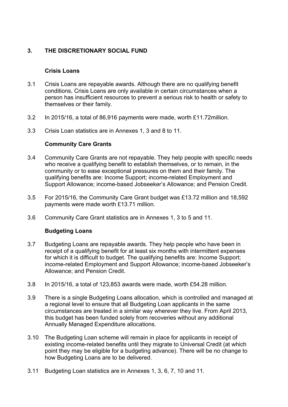# **3. THE DISCRETIONARY SOCIAL FUND**

## **Crisis Loans**

- 3.1 Crisis Loans are repayable awards. Although there are no qualifying benefit conditions, Crisis Loans are only available in certain circumstances when a person has insufficient resources to prevent a serious risk to health or safety to themselves or their family.
- 3.2 In 2015/16, a total of 86,916 payments were made, worth £11.72million.
- 3.3 Crisis Loan statistics are in Annexes 1, 3 and 8 to 11.

# **Community Care Grants**

- 3.4 Community Care Grants are not repayable. They help people with specific needs who receive a qualifying benefit to establish themselves, or to remain, in the community or to ease exceptional pressures on them and their family. The qualifying benefits are: Income Support; income-related Employment and Support Allowance; income-based Jobseeker's Allowance; and Pension Credit.
- 3.5 For 2015/16, the Community Care Grant budget was £13.72 million and 18,592 payments were made worth £13.71 million.
- 3.6 Community Care Grant statistics are in Annexes 1, 3 to 5 and 11.

# **Budgeting Loans**

- 3.7 Budgeting Loans are repayable awards. They help people who have been in receipt of a qualifying benefit for at least six months with intermittent expenses for which it is difficult to budget. The qualifying benefits are: Income Support; income-related Employment and Support Allowance; income-based Jobseeker's Allowance; and Pension Credit.
- 3.8 In 2015/16, a total of 123,853 awards were made, worth £54.28 million.
- 3.9 There is a single Budgeting Loans allocation, which is controlled and managed at a regional level to ensure that all Budgeting Loan applicants in the same circumstances are treated in a similar way wherever they live. From April 2013, this budget has been funded solely from recoveries without any additional Annually Managed Expenditure allocations.
- 3.10 The Budgeting Loan scheme will remain in place for applicants in receipt of existing income-related benefits until they migrate to Universal Credit (at which point they may be eligible for a budgeting advance). There will be no change to how Budgeting Loans are to be delivered.
- 3.11 Budgeting Loan statistics are in Annexes 1, 3, 6, 7, 10 and 11.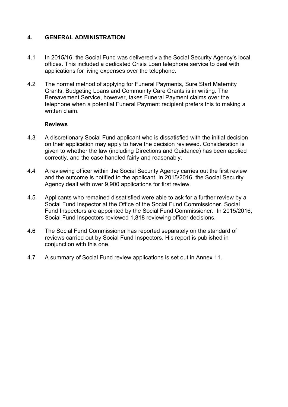# **4. GENERAL ADMINISTRATION**

- 4.1 In 2015/16, the Social Fund was delivered via the Social Security Agency's local offices. This included a dedicated Crisis Loan telephone service to deal with applications for living expenses over the telephone.
- 4.2 The normal method of applying for Funeral Payments, Sure Start Maternity Grants, Budgeting Loans and Community Care Grants is in writing. The Bereavement Service, however, takes Funeral Payment claims over the telephone when a potential Funeral Payment recipient prefers this to making a written claim.

## **Reviews**

- 4.3 A discretionary Social Fund applicant who is dissatisfied with the initial decision on their application may apply to have the decision reviewed. Consideration is given to whether the law (including Directions and Guidance) has been applied correctly, and the case handled fairly and reasonably.
- 4.4 A reviewing officer within the Social Security Agency carries out the first review and the outcome is notified to the applicant. In 2015/2016, the Social Security Agency dealt with over 9,900 applications for first review.
- 4.5 Applicants who remained dissatisfied were able to ask for a further review by a Social Fund Inspector at the Office of the Social Fund Commissioner. Social Fund Inspectors are appointed by the Social Fund Commissioner. In 2015/2016, Social Fund Inspectors reviewed 1,818 reviewing officer decisions.
- 4.6 The Social Fund Commissioner has reported separately on the standard of reviews carried out by Social Fund Inspectors. His report is published in conjunction with this one.
- 4.7 A summary of Social Fund review applications is set out in Annex 11.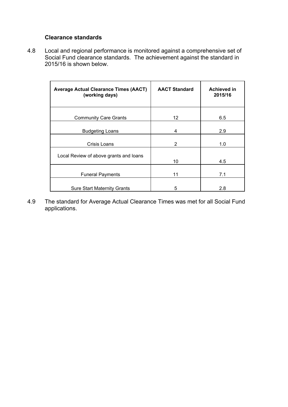## **Clearance standards**

4.8 Local and regional performance is monitored against a comprehensive set of Social Fund clearance standards. The achievement against the standard in 2015/16 is shown below.

| <b>Average Actual Clearance Times (AACT)</b><br>(working days) | <b>AACT Standard</b> | Achieved in<br>2015/16 |
|----------------------------------------------------------------|----------------------|------------------------|
| <b>Community Care Grants</b>                                   | 12                   | 6.5                    |
| <b>Budgeting Loans</b>                                         | 4                    | 2.9                    |
| Crisis Loans                                                   | 2                    | 1.0                    |
| Local Review of above grants and loans                         | 10                   | 4.5                    |
| <b>Funeral Payments</b>                                        | 11                   | 7.1                    |
| <b>Sure Start Maternity Grants</b>                             | 5                    | 2.8                    |

4.9 The standard for Average Actual Clearance Times was met for all Social Fund applications.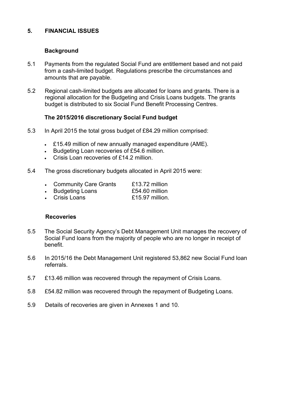## **5. FINANCIAL ISSUES**

## **Background**

- 5.1 Payments from the regulated Social Fund are entitlement based and not paid from a cash-limited budget. Regulations prescribe the circumstances and amounts that are payable.
- 5.2 Regional cash-limited budgets are allocated for loans and grants. There is a regional allocation for the Budgeting and Crisis Loans budgets. The grants budget is distributed to six Social Fund Benefit Processing Centres.

## **The 2015/2016 discretionary Social Fund budget**

- 5.3 In April 2015 the total gross budget of £84.29 million comprised:
	- £15.49 million of new annually managed expenditure (AME).
	- Budgeting Loan recoveries of £54.6 million.
	- Crisis Loan recoveries of £14.2 million.
- 5.4 The gross discretionary budgets allocated in April 2015 were:
	- Community Care Grants £13.72 million
	- Budgeting Loans £54.60 million
	- Crisis Loans £15.97 million.

#### **Recoveries**

- 5.5 The Social Security Agency's Debt Management Unit manages the recovery of Social Fund loans from the majority of people who are no longer in receipt of benefit.
- 5.6 In 2015/16 the Debt Management Unit registered 53,862 new Social Fund loan referrals.
- 5.7 £13.46 million was recovered through the repayment of Crisis Loans.
- 5.8 £54.82 million was recovered through the repayment of Budgeting Loans.
- 5.9 Details of recoveries are given in Annexes 1 and 10.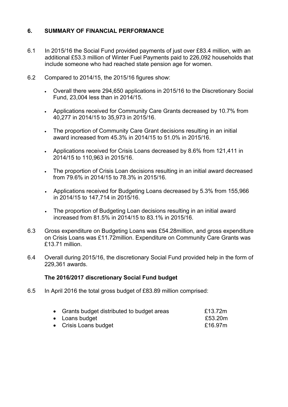# **6. SUMMARY OF FINANCIAL PERFORMANCE**

- 6.1 In 2015/16 the Social Fund provided payments of just over £83.4 million, with an additional £53.3 million of Winter Fuel Payments paid to 226,092 households that include someone who had reached state pension age for women.
- 6.2 Compared to 2014/15, the 2015/16 figures show:
	- Overall there were 294,650 applications in 2015/16 to the Discretionary Social Fund, 23,004 less than in 2014/15.
	- Applications received for Community Care Grants decreased by 10.7% from 40,277 in 2014/15 to 35,973 in 2015/16.
	- The proportion of Community Care Grant decisions resulting in an initial award increased from 45.3% in 2014/15 to 51.0% in 2015/16.
	- Applications received for Crisis Loans decreased by 8.6% from 121,411 in 2014/15 to 110,963 in 2015/16.
	- The proportion of Crisis Loan decisions resulting in an initial award decreased from 79.6% in 2014/15 to 78.3% in 2015/16.
	- Applications received for Budgeting Loans decreased by 5.3% from 155,966 in 2014/15 to 147,714 in 2015/16.
	- The proportion of Budgeting Loan decisions resulting in an initial award increased from 81.5% in 2014/15 to 83.1% in 2015/16.
- 6.3 Gross expenditure on Budgeting Loans was £54.28million, and gross expenditure on Crisis Loans was £11.72million. Expenditure on Community Care Grants was £13.71 million.
- 6.4 Overall during 2015/16, the discretionary Social Fund provided help in the form of 229,361 awards.

# **The 2016/2017 discretionary Social Fund budget**

6.5 In April 2016 the total gross budget of £83.89 million comprised:

| • Grants budget distributed to budget areas | £13.72m |
|---------------------------------------------|---------|
| • Loans budget                              | £53.20m |
| • Crisis Loans budget                       | £16.97m |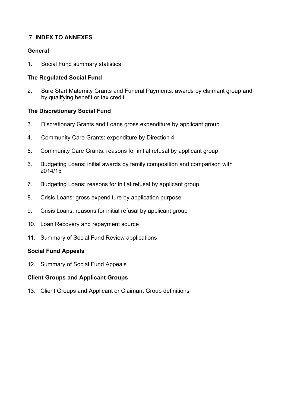# 7. **INDEX TO ANNEXES**

# **General**

1. Social Fund summary statistics

# **The Regulated Social Fund**

2. Sure Start Maternity Grants and Funeral Payments: awards by claimant group and by qualifying benefit or tax credit

# **The Discretionary Social Fund**

- 3. Discretionary Grants and Loans gross expenditure by applicant group
- 4. Community Care Grants: expenditure by Direction 4
- 5. Community Care Grants: reasons for initial refusal by applicant group
- 6. Budgeting Loans: initial awards by family composition and comparison with 2014/15
- 7. Budgeting Loans: reasons for initial refusal by applicant group
- 8. Crisis Loans: gross expenditure by application purpose
- 9. Crisis Loans: reasons for initial refusal by applicant group
- 10. Loan Recovery and repayment source
- 11. Summary of Social Fund Review applications

# **Social Fund Appeals**

12. Summary of Social Fund Appeals

# **Client Groups and Applicant Groups**

13. Client Groups and Applicant or Claimant Group definitions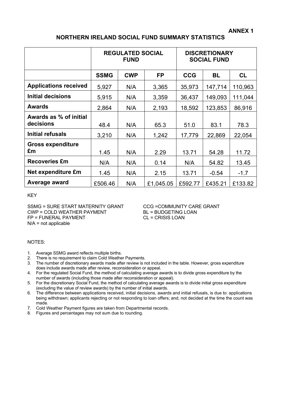# **NORTHERN IRELAND SOCIAL FUND SUMMARY STATISTICS**

|                                     | <b>REGULATED SOCIAL</b><br><b>FUND</b> |            |           | <b>DISCRETIONARY</b><br><b>SOCIAL FUND</b> |         |           |  |
|-------------------------------------|----------------------------------------|------------|-----------|--------------------------------------------|---------|-----------|--|
|                                     | <b>SSMG</b>                            | <b>CWP</b> | <b>FP</b> | <b>CCG</b>                                 | BL      | <b>CL</b> |  |
| <b>Applications received</b>        | 5,927                                  | N/A        | 3,365     | 35,973                                     | 147,714 | 110,963   |  |
| <b>Initial decisions</b>            | 5,915                                  | N/A        | 3,359     | 36,437                                     | 149,093 | 111,044   |  |
| <b>Awards</b>                       | 2,864                                  | N/A        | 2,193     | 18,592                                     | 123,853 | 86,916    |  |
| Awards as % of initial<br>decisions | 48.4                                   | N/A        | 65.3      | 51.0                                       | 83.1    | 78.3      |  |
| Initial refusals                    | 3,210                                  | N/A        | 1,242     | 17,779                                     | 22,869  | 22,054    |  |
| <b>Gross expenditure</b><br>£m      | 1.45                                   | N/A        | 2.29      | 13.71                                      | 54.28   | 11.72     |  |
| <b>Recoveries £m</b>                | N/A                                    | N/A        | 0.14      | N/A                                        | 54.82   | 13.45     |  |
| Net expenditure £m                  | 1.45                                   | N/A        | 2.15      | 13.71                                      | $-0.54$ | $-1.7$    |  |
| Average award                       | £506.46                                | N/A        | £1,045.05 | £592.77                                    | £435.21 | £133.82   |  |

KEY

SSMG = SURE START MATERNITY GRANT CCG =COMMUNITY CARE GRANT<br>CWP = COLD WEATHER PAYMENT BL = BUDGETING LOAN CWP = COLD WEATHER PAYMENT FP = FUNERAL PAYMENT CL = CRISIS LOAN N/A = not applicable

#### NOTES:

- 1. Average SSMG award reflects multiple births.
- 2. There is no requirement to claim Cold Weather Payments.
- 3. The number of discretionary awards made after review is not included in the table. However, gross expenditure does include awards made after review, reconsideration or appeal.
- 4. For the regulated Social Fund, the method of calculating average awards is to divide gross expenditure by the number of awards (including those made after reconsideration or appeal).
- 5. For the discretionary Social Fund, the method of calculating average awards is to divide initial gross expenditure (excluding the value of review awards) by the number of initial awards.
- 6. The difference between applications received, initial decisions, awards and initial refusals, is due to: applications being withdrawn; applicants rejecting or not responding to loan offers; and, not decided at the time the count was made.
- 7. Cold Weather Payment figures are taken from Departmental records.
- 8. Figures and percentages may not sum due to rounding.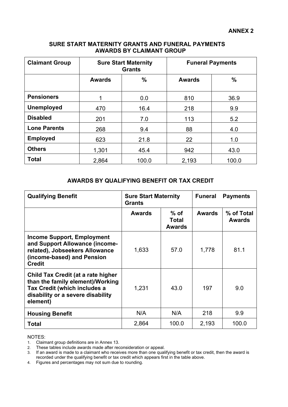## **SURE START MATERNITY GRANTS AND FUNERAL PAYMENTS AWARDS BY CLAIMANT GROUP**

| <b>Claimant Group</b> | <b>Sure Start Maternity</b><br><b>Grants</b> |       |                | <b>Funeral Payments</b> |
|-----------------------|----------------------------------------------|-------|----------------|-------------------------|
|                       | <b>Awards</b>                                | $\%$  | <b>Awards</b>  | $\%$                    |
| <b>Pensioners</b>     | 1                                            | 0.0   | 810            | 36.9                    |
| <b>Unemployed</b>     | 470                                          | 16.4  | 218            | 9.9                     |
| <b>Disabled</b>       | 201                                          | 7.0   | 113            | 5.2                     |
| <b>Lone Parents</b>   | 268                                          | 9.4   | 88             | 4.0                     |
| <b>Employed</b>       | 623                                          | 21.8  | 22<br>1.0      |                         |
| <b>Others</b>         | 1,301                                        | 45.4  | 942<br>43.0    |                         |
| <b>Total</b>          | 2,864                                        | 100.0 | 2,193<br>100.0 |                         |

## **AWARDS BY QUALIFYING BENEFIT OR TAX CREDIT**

| <b>Qualifying Benefit</b>                                                                                                                               | <b>Sure Start Maternity</b><br><b>Grants</b> |                                         | <b>Funeral</b> | <b>Payments</b>      |
|---------------------------------------------------------------------------------------------------------------------------------------------------------|----------------------------------------------|-----------------------------------------|----------------|----------------------|
|                                                                                                                                                         | <b>Awards</b>                                | $%$ of<br><b>Total</b><br><b>Awards</b> | <b>Awards</b>  | % of Total<br>Awards |
| <b>Income Support, Employment</b><br>and Support Allowance (income-<br>related), Jobseekers Allowance<br>(income-based) and Pension<br><b>Credit</b>    | 1,633                                        | 57.0                                    | 1,778          | 81.1                 |
| Child Tax Credit (at a rate higher<br>than the family element)/Working<br>Tax Credit (which includes a<br>disability or a severe disability<br>element) | 1,231                                        | 43.0                                    | 197            | 9.0                  |
| <b>Housing Benefit</b>                                                                                                                                  | N/A                                          | N/A                                     | 218            | 9.9                  |
| <b>Total</b>                                                                                                                                            | 2,864                                        | 100.0                                   | 2,193          | 100.0                |

#### NOTES:

4. Figures and percentages may not sum due to rounding.

<sup>1.</sup> Claimant group definitions are in Annex 13.

<sup>2.</sup> These tables include awards made after reconsideration or appeal.

<sup>3.</sup> If an award is made to a claimant who receives more than one qualifying benefit or tax credit, then the award is recorded under the qualifying benefit or tax credit which appears first in the table above.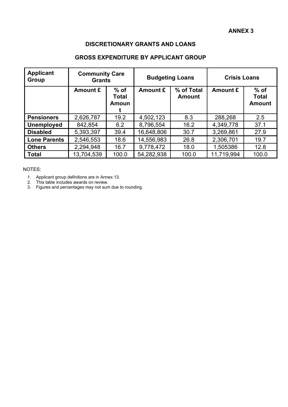## **DISCRETIONARY GRANTS AND LOANS**

# **GROSS EXPENDITURE BY APPLICANT GROUP**

| <b>Applicant</b><br>Group | <b>Community Care</b><br><b>Grants</b> |                                 | <b>Budgeting Loans</b> |                             | <b>Crisis Loans</b> |                                         |  |
|---------------------------|----------------------------------------|---------------------------------|------------------------|-----------------------------|---------------------|-----------------------------------------|--|
|                           | Amount £                               | $%$ of<br><b>Total</b><br>Amoun | Amount £               | % of Total<br><b>Amount</b> |                     | $%$ of<br><b>Total</b><br><b>Amount</b> |  |
| <b>Pensioners</b>         | 2,626,787                              | 19.2                            | 4,502,123              | 8.3                         | 288,268             | 2.5                                     |  |
| <b>Unemployed</b>         | 842,854                                | 6.2                             | 8,796,554              | 16.2                        | 4,349,778           | 37.1                                    |  |
| <b>Disabled</b>           | 5,393,397                              | 39.4                            | 16,648,806             | 30.7                        | 3,269,861           | 27.9                                    |  |
| <b>Lone Parents</b>       | 2,546,553                              | 18.6                            | 14,556,983             | 26.8                        | 2,306,701           | 19.7                                    |  |
| <b>Others</b>             | 2,294,948                              | 16.7                            | 9,778,472              | 18.0                        | 1,505386            | 12.8                                    |  |
| <b>Total</b>              | 13,704,539                             | 100.0                           | 54,282,938             | 100.0                       | 11,719,994          | 100.0                                   |  |

NOTES:

- 1. Applicant group definitions are in Annex 13.
- 2. This table includes awards on review.
- 3. Figures and percentages may not sum due to rounding.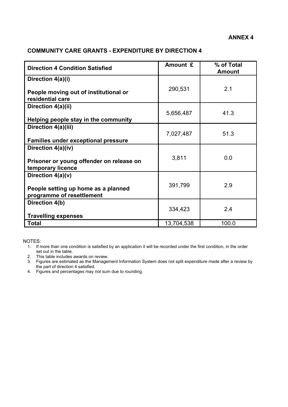# **COMMUNITY CARE GRANTS - EXPENDITURE BY DIRECTION 4**

| <b>Direction 4 Condition Satisfied</b>                           | Amount £   | % of Total<br><b>Amount</b> |
|------------------------------------------------------------------|------------|-----------------------------|
| Direction 4(a)(i)<br>People moving out of institutional or       | 290,531    | 2.1                         |
| residential care                                                 |            |                             |
| Direction 4(a)(ii)                                               |            |                             |
| Helping people stay in the community                             | 5,656,487  | 41.3                        |
| Direction 4(a)(iii)                                              | 7,027,487  | 51.3                        |
| <b>Families under exceptional pressure</b>                       |            |                             |
| Direction 4(a)(iv)                                               |            |                             |
| Prisoner or young offender on release on<br>temporary licence    | 3,811      | 0.0                         |
| Direction $4(a)(v)$                                              |            |                             |
| People setting up home as a planned<br>programme of resettlement | 391,799    | 2.9                         |
| Direction 4(b)                                                   |            |                             |
| <b>Travelling expenses</b>                                       | 334,423    | 2.4                         |
| <b>Total</b>                                                     | 13,704,538 | 100.0                       |

NOTES:

1. If more than one condition is satisfied by an application it will be recorded under the first condition, in the order set out in the table.

2. This table includes awards on review.

- 3. Figures are estimated as the Management Information System does not split expenditure made after a review by the part of direction 4 satisfied.
- 4. Figures and percentages may not sum due to rounding.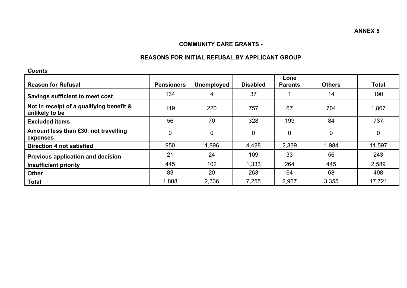#### **COMMUNITY CARE GRANTS -**

#### **REASONS FOR INITIAL REFUSAL BY APPLICANT GROUP**

*Counts* 

| ovunu                                                      |                   |                   |                 |                        |               |              |
|------------------------------------------------------------|-------------------|-------------------|-----------------|------------------------|---------------|--------------|
| <b>Reason for Refusal</b>                                  | <b>Pensioners</b> | <b>Unemployed</b> | <b>Disabled</b> | Lone<br><b>Parents</b> | <b>Others</b> | <b>Total</b> |
| Savings sufficient to meet cost                            | 134               | 4                 | 37              |                        | 14            | 190          |
| Not in receipt of a qualifying benefit &<br>unlikely to be | 119               | 220               | 757             | 67                     | 704           | 1,867        |
| <b>Excluded items</b>                                      | 56                | 70                | 328             | 199                    | 84            | 737          |
| Amount less than £30, not travelling<br>expenses           | 0                 | $\overline{0}$    | 0               | $\mathbf 0$            | 0             | 0            |
| Direction 4 not satisfied                                  | 950               | 1,896             | 4,428           | 2,339                  | 1,984         | 11,597       |
| Previous application and decision                          | 21                | 24                | 109             | 33                     | 56            | 243          |
| <b>Insufficient priority</b>                               | 445               | 102               | 1,333           | 264                    | 445           | 2,589        |
| <b>Other</b>                                               | 83                | 20                | 263             | 64                     | 68            | 498          |
| <b>Total</b>                                               | 1,808             | 2,336             | 7,255           | 2,967                  | 3,355         | 17,721       |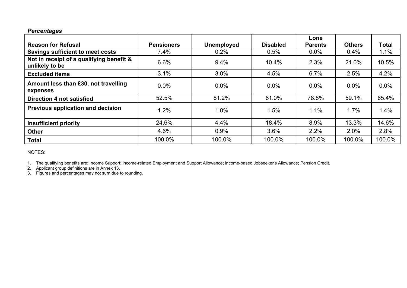## *Percentages*

|                                                            |                   |                   |                 | Lone           |               |        |
|------------------------------------------------------------|-------------------|-------------------|-----------------|----------------|---------------|--------|
| <b>Reason for Refusal</b>                                  | <b>Pensioners</b> | <b>Unemployed</b> | <b>Disabled</b> | <b>Parents</b> | <b>Others</b> | Total  |
| <b>Savings sufficient to meet costs</b>                    | 7.4%              | 0.2%              | 0.5%            | $0.0\%$        | 0.4%          | 1.1%   |
| Not in receipt of a qualifying benefit &<br>unlikely to be | 6.6%              | 9.4%              | 10.4%           | 2.3%           | 21.0%         | 10.5%  |
| <b>Excluded items</b>                                      | 3.1%              | 3.0%              | 4.5%            | 6.7%           | 2.5%          | 4.2%   |
| Amount less than £30, not travelling<br>expenses           | $0.0\%$           | $0.0\%$           | $0.0\%$         | $0.0\%$        | $0.0\%$       | 0.0%   |
| Direction 4 not satisfied                                  | 52.5%             | 81.2%             | 61.0%           | 78.8%          | 59.1%         | 65.4%  |
| Previous application and decision                          | 1.2%              | 1.0%              | 1.5%            | 1.1%           | 1.7%          | 1.4%   |
| <b>Insufficient priority</b>                               | 24.6%             | 4.4%              | 18.4%           | 8.9%           | 13.3%         | 14.6%  |
| <b>Other</b>                                               | 4.6%              | 0.9%              | 3.6%            | 2.2%           | 2.0%          | 2.8%   |
| <b>Total</b>                                               | 100.0%            | 100.0%            | 100.0%          | 100.0%         | 100.0%        | 100.0% |

NOTES:

1. The qualifying benefits are: Income Support; income-related Employment and Support Allowance; income-based Jobseeker's Allowance; Pension Credit.

2. Applicant group definitions are in Annex 13.

3. Figures and percentages may not sum due to rounding.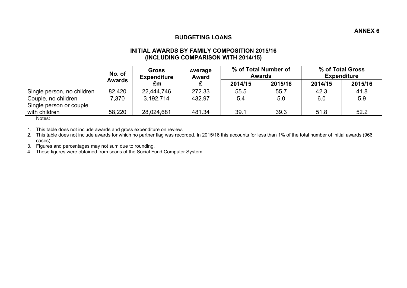## **BUDGETING LOANS**

#### **INITIAL AWARDS BY FAMILY COMPOSITION 2015/16 (INCLUDING COMPARISON WITH 2014/15)**

|                            | <b>Gross</b><br>No. of<br><b>Expenditure</b> |            | <b>Average</b><br><b>Award</b> | % of Total Number of<br><b>Awards</b> |         | % of Total Gross<br><b>Expenditure</b> |         |
|----------------------------|----------------------------------------------|------------|--------------------------------|---------------------------------------|---------|----------------------------------------|---------|
|                            | <b>Awards</b>                                | £m         |                                | 2014/15                               | 2015/16 | 2014/15                                | 2015/16 |
| Single person, no children | 82,420                                       | 22,444,746 | 272.33                         | 55.5                                  | 55.7    | 42.3                                   | 41.8    |
| Couple, no children        | 7,370                                        | 3,192,714  | 432.97                         | 5.4                                   | 5.0     | 6.0                                    | 5.9     |
| Single person or couple    |                                              |            |                                |                                       |         |                                        |         |
| with children              | 58,220                                       | 28,024,681 | 481.34                         | 39.1                                  | 39.3    | 51.8                                   | 52.2    |

Notes:

1. This table does not include awards and gross expenditure on review.

2. This table does not include awards for which no partner flag was recorded. In 2015/16 this accounts for less than 1% of the total number of initial awards (966 cases).

3. Figures and percentages may not sum due to rounding.

4. These figures were obtained from scans of the Social Fund Computer System.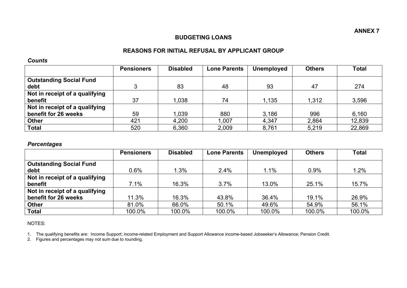## **BUDGETING LOANS**

# **REASONS FOR INITIAL REFUSAL BY APPLICANT GROUP**

#### *Counts*

|                                | <b>Pensioners</b> | <b>Disabled</b> | <b>Lone Parents</b> | <b>Unemployed</b> | <b>Others</b> | <b>Total</b> |
|--------------------------------|-------------------|-----------------|---------------------|-------------------|---------------|--------------|
| <b>Outstanding Social Fund</b> |                   |                 |                     |                   |               |              |
| debt                           | ◠                 | 83              | 48                  | 93                | 47            | 274          |
| Not in receipt of a qualifying |                   |                 |                     |                   |               |              |
| benefit                        | 37                | 1,038           | 74                  | 1,135             | 1,312         | 3,596        |
| Not in receipt of a qualifying |                   |                 |                     |                   |               |              |
| benefit for 26 weeks           | 59                | 1,039           | 880                 | 3.186             | 996           | 6,160        |
| <b>Other</b>                   | 421               | 4,200           | .007                | 4,347             | 2,864         | 12,839       |
| <b>Total</b>                   | 520               | 6,360           | 2,009               | 8,761             | 5,219         | 22,869       |

#### *Percentages*

|                                | <b>Pensioners</b> | <b>Disabled</b> | <b>Lone Parents</b> | <b>Unemployed</b> | <b>Others</b> | <b>Total</b> |
|--------------------------------|-------------------|-----------------|---------------------|-------------------|---------------|--------------|
| <b>Outstanding Social Fund</b> |                   |                 |                     |                   |               |              |
| debt                           | 0.6%              | 1.3%            | 2.4%                | 1.1%              | 0.9%          | 1.2%         |
| Not in receipt of a qualifying |                   |                 |                     |                   |               |              |
| benefit                        | 7.1%              | 16.3%           | 3.7%                | 13.0%             | 25.1%         | 15.7%        |
| Not in receipt of a qualifying |                   |                 |                     |                   |               |              |
| benefit for 26 weeks           | 11.3%             | 16.3%           | 43.8%               | 36.4%             | 19.1%         | 26.9%        |
| <b>Other</b>                   | 81.0%             | 66.0%           | 50.1%               | 49.6%             | 54.9%         | 56.1%        |
| <b>Total</b>                   | 100.0%            | 100.0%          | 100.0%              | 100.0%            | 100.0%        | 100.0%       |

NOTES:

1. The qualifying benefits are: Income Support; income-related Employment and Support Allowance income-based Jobseeker's Allowance; Pension Credit.

2. Figures and percentages may not sum due to rounding.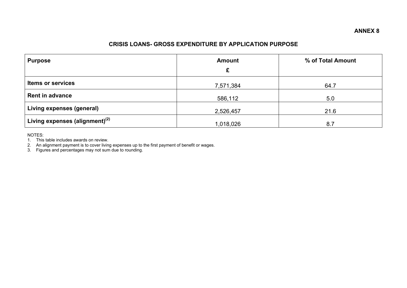# **CRISIS LOANS- GROSS EXPENDITURE BY APPLICATION PURPOSE**

| <b>Purpose</b>                    | <b>Amount</b><br>£ | % of Total Amount |
|-----------------------------------|--------------------|-------------------|
| <b>Items or services</b>          | 7,571,384          | 64.7              |
| <b>Rent in advance</b>            | 586,112            | 5.0               |
| Living expenses (general)         | 2,526,457          | 21.6              |
| Living expenses (alignment) $(2)$ | 1,018,026          | 8.7               |

NOTES:

1. This table includes awards on review.

2. An alignment payment is to cover living expenses up to the first payment of benefit or wages.

3. Figures and percentages may not sum due to rounding.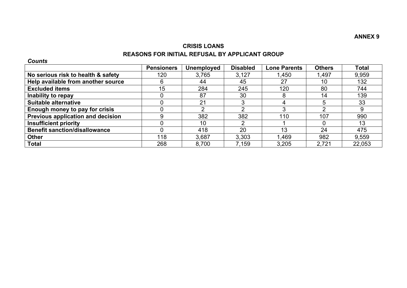# **CRISIS LOANS REASONS FOR INITIAL REFUSAL BY APPLICANT GROUP**

*Counts* 

|                                      | <b>Pensioners</b> | <b>Unemployed</b> | <b>Disabled</b> | <b>Lone Parents</b> | <b>Others</b> | <b>Total</b> |
|--------------------------------------|-------------------|-------------------|-----------------|---------------------|---------------|--------------|
| No serious risk to health & safety   | 120               | 3,765             | 3,127           | 1,450               | 1,497         | 9,959        |
| Help available from another source   | 6                 | 44                | 45              | 27                  | 10            | 132          |
| <b>Excluded items</b>                | 15                | 284               | 245             | 120                 | 80            | 744          |
| Inability to repay                   |                   | 87                | 30              | 8                   | 14            | 139          |
| <b>Suitable alternative</b>          |                   | 21                |                 | 4                   |               | 33           |
| Enough money to pay for crisis       |                   |                   |                 | 3                   |               | 9            |
| Previous application and decision    | 9                 | 382               | 382             | 110                 | 107           | 990          |
| <b>Insufficient priority</b>         |                   | 10                |                 |                     |               | 13           |
| <b>Benefit sanction/disallowance</b> |                   | 418               | 20              | 13                  | 24            | 475          |
| <b>Other</b>                         | 118               | 3,687             | 3,303           | 1,469               | 982           | 9,559        |
| <b>Total</b>                         | 268               | 8,700             | 7,159           | 3,205               | 2.721         | 22,053       |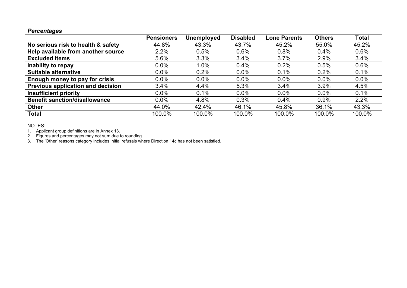### *Percentages*

|                                      | <b>Pensioners</b> | <b>Unemployed</b> | <b>Disabled</b> | <b>Lone Parents</b> | <b>Others</b> | <b>Total</b> |
|--------------------------------------|-------------------|-------------------|-----------------|---------------------|---------------|--------------|
| No serious risk to health & safety   | 44.8%             | 43.3%             | 43.7%           | 45.2%               | 55.0%         | 45.2%        |
| Help available from another source   | 2.2%              | 0.5%              | 0.6%            | 0.8%                | 0.4%          | 0.6%         |
| <b>Excluded items</b>                | 5.6%              | 3.3%              | 3.4%            | 3.7%                | 2.9%          | 3.4%         |
| Inability to repay                   | 0.0%              | 1.0%              | 0.4%            | 0.2%                | 0.5%          | 0.6%         |
| <b>Suitable alternative</b>          | 0.0%              | 0.2%              | $0.0\%$         | 0.1%                | 0.2%          | 0.1%         |
| Enough money to pay for crisis       | 0.0%              | 0.0%              | 0.0%            | 0.0%                | $0.0\%$       | $0.0\%$      |
| Previous application and decision    | 3.4%              | 4.4%              | 5.3%            | 3.4%                | 3.9%          | 4.5%         |
| <b>Insufficient priority</b>         | 0.0%              | 0.1%              | 0.0%            | 0.0%                | 0.0%          | 0.1%         |
| <b>Benefit sanction/disallowance</b> | 0.0%              | 4.8%              | 0.3%            | 0.4%                | 0.9%          | 2.2%         |
| <b>Other</b>                         | 44.0%             | 42.4%             | 46.1%           | 45.8%               | 36.1%         | 43.3%        |
| <b>Total</b>                         | 100.0%            | 100.0%            | 100.0%          | 100.0%              | 100.0%        | 100.0%       |

NOTES:

1. Applicant group definitions are in Annex 13.

2. Figures and percentages may not sum due to rounding.

3. The 'Other' reasons category includes initial refusals where Direction 14c has not been satisfied.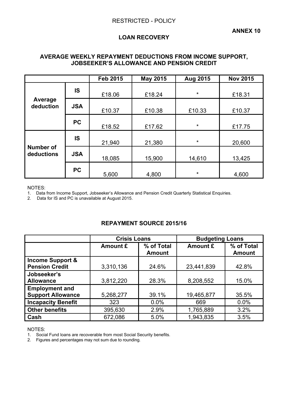# **LOAN RECOVERY**

## **AVERAGE WEEKLY REPAYMENT DEDUCTIONS FROM INCOME SUPPORT, JOBSEEKER'S ALLOWANCE AND PENSION CREDIT**

|                                |            | <b>Feb 2015</b> | <b>May 2015</b> | Aug 2015 | <b>Nov 2015</b> |
|--------------------------------|------------|-----------------|-----------------|----------|-----------------|
|                                | IS         | £18.06          | £18.24          | $\star$  | £18.31          |
| Average<br>deduction           | <b>JSA</b> | £10.37          | £10.38          | £10.33   | £10.37          |
|                                | <b>PC</b>  | £18.52          | £17.62          | $\star$  | £17.75          |
|                                | IS         | 21,940          | 21,380          | *        | 20,600          |
| <b>Number of</b><br>deductions | <b>JSA</b> | 18,085          | 15,900          | 14,610   | 13,425          |
|                                | <b>PC</b>  | 5,600           | 4,800           | $\star$  | 4,600           |

NOTES:

1. Data from Income Support, Jobseeker's Allowance and Pension Credit Quarterly Statistical Enquiries.

2. Data for IS and PC is unavailable at August 2015.

## **REPAYMENT SOURCE 2015/16**

|                                                      | <b>Crisis Loans</b> |                             | <b>Budgeting Loans</b> |                             |  |
|------------------------------------------------------|---------------------|-----------------------------|------------------------|-----------------------------|--|
|                                                      | Amount £            | % of Total<br><b>Amount</b> | Amount £               | % of Total<br><b>Amount</b> |  |
| <b>Income Support &amp;</b><br><b>Pension Credit</b> | 3,310,136           | 24.6%                       | 23,441,839             | 42.8%                       |  |
| Jobseeker's<br><b>Allowance</b>                      | 3,812,220           | 28.3%                       | 8,208,552              | 15.0%                       |  |
| <b>Employment and</b><br><b>Support Allowance</b>    | 5,268,277           | 39.1%                       | 19,465,877             | 35.5%                       |  |
| <b>Incapacity Benefit</b>                            | 323                 | 0.0%                        | 669                    | 0.0%                        |  |
| <b>Other benefits</b>                                | 395,630             | 2.9%                        | 1,765,889              | 3.2%                        |  |
| Cash                                                 | 672,086             | 5.0%                        | 1,943,835              | 3.5%                        |  |

NOTES:

1. Social Fund loans are recoverable from most Social Security benefits.

2. Figures and percentages may not sum due to rounding.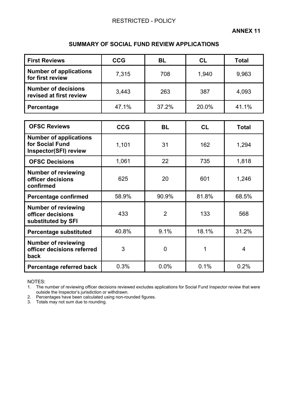## **SUMMARY OF SOCIAL FUND REVIEW APPLICATIONS**

| <b>First Reviews</b>                                  | <b>CCG</b> | BL    | <b>CL</b> | <b>Total</b> |
|-------------------------------------------------------|------------|-------|-----------|--------------|
| <b>Number of applications</b><br>for first review     | 7,315      | 708   | 1,940     | 9,963        |
| <b>Number of decisions</b><br>revised at first review | 3,443      | 263   | 387       | 4,093        |
| Percentage                                            | 47.1%      | 37.2% | 20.0%     | 41.1%        |

| <b>OFSC Reviews</b>                                                              | <b>CCG</b> | <b>BL</b>      | <b>CL</b> | <b>Total</b>   |
|----------------------------------------------------------------------------------|------------|----------------|-----------|----------------|
| <b>Number of applications</b><br>for Social Fund<br><b>Inspector(SFI) review</b> | 1,101      | 31             | 162       | 1,294          |
| <b>OFSC Decisions</b>                                                            | 1,061      | 22             | 735       | 1,818          |
| <b>Number of reviewing</b><br>officer decisions<br>confirmed                     | 625        | 20             | 601       | 1,246          |
| <b>Percentage confirmed</b>                                                      | 58.9%      | 90.9%          | 81.8%     | 68.5%          |
| <b>Number of reviewing</b><br>officer decisions<br>substituted by SFI            | 433        | $\overline{2}$ | 133       | 568            |
| <b>Percentage substituted</b>                                                    | 40.8%      | 9.1%           | 18.1%     | 31.2%          |
| <b>Number of reviewing</b><br>officer decisions referred<br>back                 | 3          | 0              | 1         | $\overline{4}$ |
| Percentage referred back                                                         | 0.3%       | 0.0%           | 0.1%      | 0.2%           |

NOTES:

1. The number of reviewing officer decisions reviewed excludes applications for Social Fund Inspector review that were outside the Inspector's jurisdiction or withdrawn.

2. Percentages have been calculated using non-rounded figures.

3. Totals may not sum due to rounding.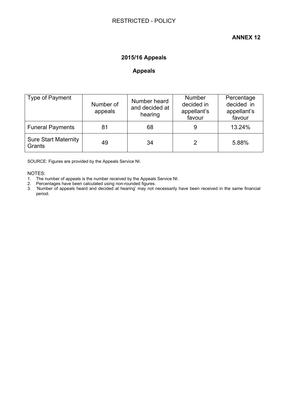# **ANNEX 12**

# **2015/16 Appeals**

## **Appeals**

| Type of Payment                       | Number of<br>appeals | Number heard<br>and decided at<br>hearing | <b>Number</b><br>decided in<br>appellant's<br>favour | Percentage<br>decided in<br>appellant's<br>favour |
|---------------------------------------|----------------------|-------------------------------------------|------------------------------------------------------|---------------------------------------------------|
| <b>Funeral Payments</b>               | 81                   | 68                                        | 9                                                    | 13.24%                                            |
| <b>Sure Start Maternity</b><br>Grants | 49                   | 34                                        |                                                      | 5.88%                                             |

SOURCE: Figures are provided by the Appeals Service NI.

NOTES:

- 1. The number of appeals is the number received by the Appeals Service NI.
- 2. Percentages have been calculated using non-rounded figures.

3. 'Number of appeals heard and decided at hearing' may not necessarily have been received in the same financial period.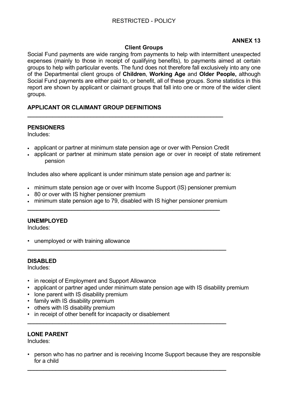# **ANNEX 13**

## **Client Groups**

Social Fund payments are wide ranging from payments to help with intermittent unexpected expenses (mainly to those in receipt of qualifying benefits), to payments aimed at certain groups to help with particular events. The fund does not therefore fall exclusively into any one of the Departmental client groups of **Children**, **Working Age** and **Older People,** although Social Fund payments are either paid to, or benefit, all of these groups. Some statistics in this report are shown by applicant or claimant groups that fall into one or more of the wider client groups.

## **APPLICANT OR CLAIMANT GROUP DEFINITIONS**

### **PENSIONERS**

Includes:

applicant or partner at minimum state pension age or over with Pension Credit

**\_\_\_\_\_\_\_\_\_\_\_\_\_\_\_\_\_\_\_\_\_\_\_\_\_\_\_\_\_\_\_\_\_\_\_\_\_\_\_\_\_\_\_\_\_\_\_\_\_\_\_\_\_\_\_\_\_\_\_\_\_\_** 

• applicant or partner at minimum state pension age or over in receipt of state retirement pension

Includes also where applicant is under minimum state pension age and partner is:

- minimum state pension age or over with Income Support (IS) pensioner premium
- 80 or over with IS higher pensioner premium
- minimum state pension age to 79, disabled with IS higher pensioner premium

**\_\_\_\_\_\_\_\_\_\_\_\_\_\_\_\_\_\_\_\_\_\_\_\_\_\_\_\_\_\_\_\_\_\_\_\_\_\_\_\_\_\_\_\_\_\_\_\_\_\_\_\_\_\_\_\_\_\_\_\_\_\_\_** 

**\_\_\_\_\_\_\_\_\_\_\_\_\_\_\_\_\_\_\_\_\_\_\_\_\_\_\_\_\_\_\_\_\_\_\_\_\_\_\_\_\_\_\_\_\_\_\_\_\_\_\_\_\_\_\_\_\_\_\_\_\_\_\_** 

**\_\_\_\_\_\_\_\_\_\_\_\_\_\_\_\_\_\_\_\_\_\_\_\_\_\_\_\_\_\_\_\_\_\_\_\_\_\_\_\_\_\_\_\_\_\_\_\_\_\_\_\_\_\_\_\_\_\_\_\_\_\_\_** 

**\_\_\_\_\_\_\_\_\_\_\_\_\_\_\_\_\_\_\_\_\_\_\_\_\_\_\_\_\_\_\_\_\_\_\_\_\_\_\_\_\_\_\_\_\_\_\_\_\_\_\_\_\_\_\_\_\_\_\_\_\_** 

#### **UNEMPLOYED**

Includes:

• unemployed or with training allowance

## **DISABLED**

Includes:

- in receipt of Employment and Support Allowance
- applicant or partner aged under minimum state pension age with IS disability premium
- lone parent with IS disability premium
- family with IS disability premium
- others with IS disability premium
- in receipt of other benefit for incapacity or disablement

# **LONE PARENT**

Includes:

• person who has no partner and is receiving Income Support because they are responsible for a child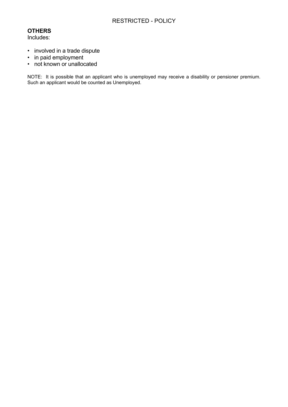# RESTRICTED - POLICY

# **OTHERS**

Includes:

- involved in a trade dispute
- in paid employment
- not known or unallocated

NOTE: It is possible that an applicant who is unemployed may receive a disability or pensioner premium. Such an applicant would be counted as Unemployed.